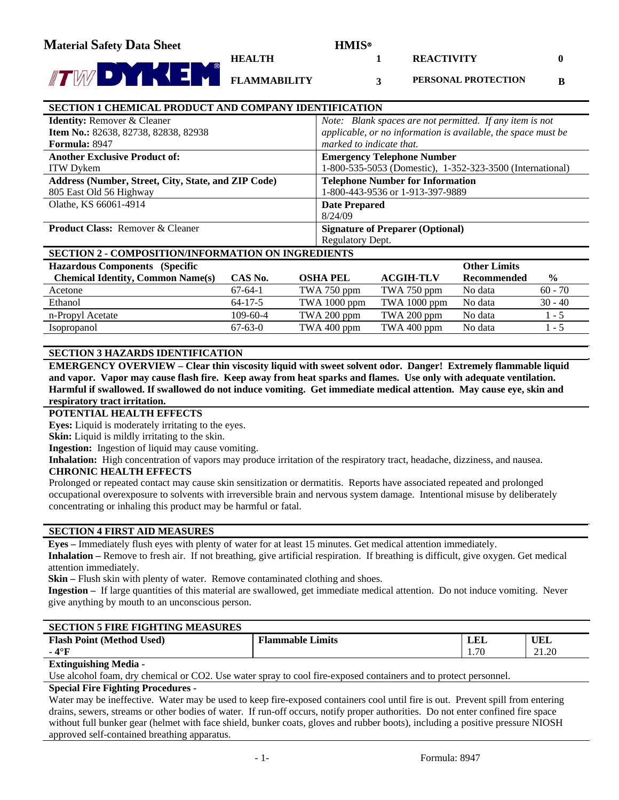| <b>SECTION 1 CHEMICAL PRODUCT AND COMPANY IDENTIFICATION</b> |                                                               |  |  |  |
|--------------------------------------------------------------|---------------------------------------------------------------|--|--|--|
| <b>Identity:</b> Remover & Cleaner                           | Note: Blank spaces are not permitted. If any item is not      |  |  |  |
| Item No.: 82638, 82738, 82838, 82938                         | applicable, or no information is available, the space must be |  |  |  |
| <b>Formula: 8947</b>                                         | marked to indicate that.                                      |  |  |  |
| <b>Another Exclusive Product of:</b>                         | <b>Emergency Telephone Number</b>                             |  |  |  |
| <b>ITW</b> Dykem                                             | 1-800-535-5053 (Domestic), 1-352-323-3500 (International)     |  |  |  |
| Address (Number, Street, City, State, and ZIP Code)          | <b>Telephone Number for Information</b>                       |  |  |  |
| 805 East Old 56 Highway                                      | 1-800-443-9536 or 1-913-397-9889                              |  |  |  |
| Olathe, KS 66061-4914                                        | <b>Date Prepared</b>                                          |  |  |  |
|                                                              | 8/24/09                                                       |  |  |  |
| <b>Product Class:</b> Remover & Cleaner                      | <b>Signature of Preparer (Optional)</b>                       |  |  |  |
|                                                              | Regulatory Dept.                                              |  |  |  |
| <b>SECTION 2 - COMPOSITION/INFORMATION ON INGREDIENTS</b>    |                                                               |  |  |  |

| <b>Hazardous Components</b> (Specific    |                |                     |                  | <b>Other Limits</b> |               |
|------------------------------------------|----------------|---------------------|------------------|---------------------|---------------|
| <b>Chemical Identity, Common Name(s)</b> | CAS No.        | <b>OSHA PEL</b>     | <b>ACGIH-TLV</b> | Recommended         | $\frac{6}{9}$ |
| Acetone                                  | $67-64-1$      | TWA 750 ppm         | TWA 750 ppm      | No data             | $60 - 70$     |
| Ethanol                                  | $64 - 17 - 5$  | <b>TWA 1000 ppm</b> | TWA 1000 ppm     | No data             | $30 - 40$     |
| n-Propyl Acetate                         | $109 - 60 - 4$ | TWA 200 ppm         | TWA 200 ppm      | No data             | $1 - 5$       |
| <i>Isopropanol</i>                       | $67-63-0$      | TWA 400 ppm         | TWA 400 ppm      | No data             | 1 - 5         |

# **SECTION 3 HAZARDS IDENTIFICATION**

**EMERGENCY OVERVIEW – Clear thin viscosity liquid with sweet solvent odor. Danger! Extremely flammable liquid and vapor. Vapor may cause flash fire. Keep away from heat sparks and flames. Use only with adequate ventilation. Harmful if swallowed. If swallowed do not induce vomiting. Get immediate medical attention. May cause eye, skin and respiratory tract irritation.** 

## **POTENTIAL HEALTH EFFECTS**

**Eyes:** Liquid is moderately irritating to the eyes.

**Skin:** Liquid is mildly irritating to the skin.

**Ingestion:** Ingestion of liquid may cause vomiting.

**Inhalation:** High concentration of vapors may produce irritation of the respiratory tract, headache, dizziness, and nausea.

# **CHRONIC HEALTH EFFECTS**

Prolonged or repeated contact may cause skin sensitization or dermatitis. Reports have associated repeated and prolonged occupational overexposure to solvents with irreversible brain and nervous system damage. Intentional misuse by deliberately concentrating or inhaling this product may be harmful or fatal.

#### **SECTION 4 FIRST AID MEASURES**

**Eyes –** Immediately flush eyes with plenty of water for at least 15 minutes. Get medical attention immediately.

**Inhalation –** Remove to fresh air. If not breathing, give artificial respiration. If breathing is difficult, give oxygen. Get medical attention immediately.

**Skin** – Flush skin with plenty of water. Remove contaminated clothing and shoes.

**Ingestion –** If large quantities of this material are swallowed, get immediate medical attention. Do not induce vomiting. Never give anything by mouth to an unconscious person.

| <b>SECTION 5 FIRE FIGHTING MEASURES</b> |                         |     |     |
|-----------------------------------------|-------------------------|-----|-----|
| <b>Flash Point (Method Used)</b>        | <b>Flammable Limits</b> | LEL | UEL |

**- 4°F** 

#### **Extinguishing Media -**

Use alcohol foam, dry chemical or CO2. Use water spray to cool fire-exposed containers and to protect personnel.

# **Special Fire Fighting Procedures -**

Water may be ineffective. Water may be used to keep fire-exposed containers cool until fire is out. Prevent spill from entering drains, sewers, streams or other bodies of water. If run-off occurs, notify proper authorities. Do not enter confined fire space without full bunker gear (helmet with face shield, bunker coats, gloves and rubber boots), including a positive pressure NIOSH approved self-contained breathing apparatus.

1.70

21.20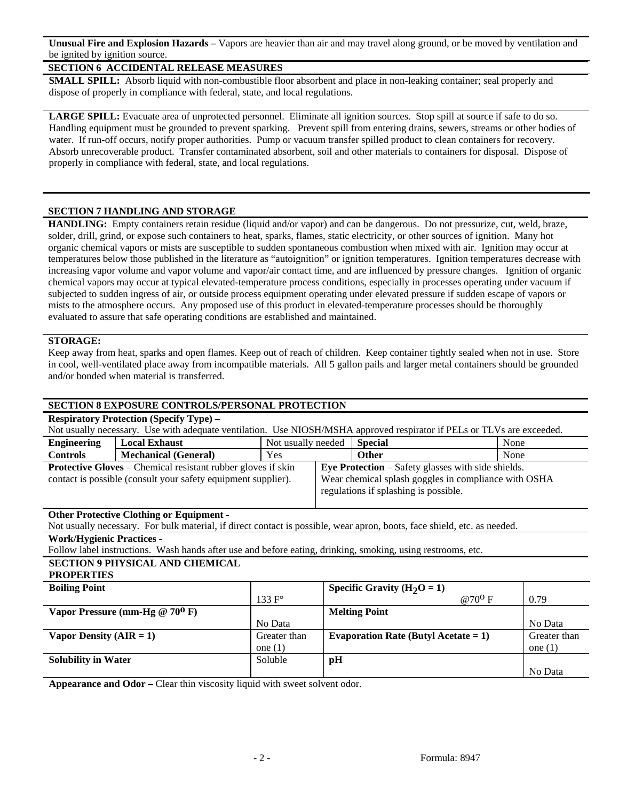**Unusual Fire and Explosion Hazards –** Vapors are heavier than air and may travel along ground, or be moved by ventilation and be ignited by ignition source.

# **SECTION 6 ACCIDENTAL RELEASE MEASURES**

**SMALL SPILL:** Absorb liquid with non-combustible floor absorbent and place in non-leaking container; seal properly and dispose of properly in compliance with federal, state, and local regulations.

LARGE SPILL: Evacuate area of unprotected personnel. Eliminate all ignition sources. Stop spill at source if safe to do so. Handling equipment must be grounded to prevent sparking. Prevent spill from entering drains, sewers, streams or other bodies of water. If run-off occurs, notify proper authorities. Pump or vacuum transfer spilled product to clean containers for recovery. Absorb unrecoverable product. Transfer contaminated absorbent, soil and other materials to containers for disposal. Dispose of properly in compliance with federal, state, and local regulations.

# **SECTION 7 HANDLING AND STORAGE**

**HANDLING:** Empty containers retain residue (liquid and/or vapor) and can be dangerous. Do not pressurize, cut, weld, braze, solder, drill, grind, or expose such containers to heat, sparks, flames, static electricity, or other sources of ignition. Many hot organic chemical vapors or mists are susceptible to sudden spontaneous combustion when mixed with air. Ignition may occur at temperatures below those published in the literature as "autoignition" or ignition temperatures. Ignition temperatures decrease with increasing vapor volume and vapor volume and vapor/air contact time, and are influenced by pressure changes. Ignition of organic chemical vapors may occur at typical elevated-temperature process conditions, especially in processes operating under vacuum if subjected to sudden ingress of air, or outside process equipment operating under elevated pressure if sudden escape of vapors or mists to the atmosphere occurs. Any proposed use of this product in elevated-temperature processes should be thoroughly evaluated to assure that safe operating conditions are established and maintained.

# **STORAGE:**

Keep away from heat, sparks and open flames. Keep out of reach of children. Keep container tightly sealed when not in use. Store in cool, well-ventilated place away from incompatible materials. All 5 gallon pails and larger metal containers should be grounded and/or bonded when material is transferred.

# **SECTION 8 EXPOSURE CONTROLS/PERSONAL PROTECTION**

**Respiratory Protection (Specify Type) –** 

| Not usually necessary. Use with adequate ventilation. Use NIOSH/MSHA approved respirator if PELs or TLVs are exceeded.               |                             |                    |                                                                                                                                                              |                |  |      |
|--------------------------------------------------------------------------------------------------------------------------------------|-----------------------------|--------------------|--------------------------------------------------------------------------------------------------------------------------------------------------------------|----------------|--|------|
| <b>Engineering</b>                                                                                                                   | <b>Local Exhaust</b>        | Not usually needed |                                                                                                                                                              | <b>Special</b> |  | None |
| <b>Controls</b>                                                                                                                      | <b>Mechanical (General)</b> | <b>Yes</b>         |                                                                                                                                                              | <b>Other</b>   |  | None |
| <b>Protective Gloves</b> – Chemical resistant rubber gloves if skin<br>contact is possible (consult your safety equipment supplier). |                             |                    | <b>Eye Protection</b> $-$ Safety glasses with side shields.<br>Wear chemical splash goggles in compliance with OSHA<br>regulations if splashing is possible. |                |  |      |

# **Other Protective Clothing or Equipment -**

Not usually necessary. For bulk material, if direct contact is possible, wear apron, boots, face shield, etc. as needed.

**Work/Hygienic Practices -** 

Follow label instructions. Wash hands after use and before eating, drinking, smoking, using restrooms, etc.

#### **SECTION 9 PHYSICAL AND CHEMICAL PROPERTIES**

| T NUT EN HED                       |                    |                                         |              |
|------------------------------------|--------------------|-----------------------------------------|--------------|
| <b>Boiling Point</b>               |                    | Specific Gravity ( $H_2O = 1$ )         |              |
|                                    | 133 F <sup>o</sup> | @70 <sup>0</sup> F                      | 0.79         |
| Vapor Pressure (mm-Hg $@ 70^0 F$ ) |                    | <b>Melting Point</b>                    |              |
|                                    | No Data            |                                         | No Data      |
| Vapor Density $(AIR = 1)$          | Greater than       | Evaporation Rate (Butyl Acetate = $1$ ) | Greater than |
|                                    | one $(1)$          |                                         | one $(1)$    |
| <b>Solubility in Water</b>         | Soluble            | pH                                      |              |
|                                    |                    |                                         | No Data      |

**Appearance and Odor –** Clear thin viscosity liquid with sweet solvent odor.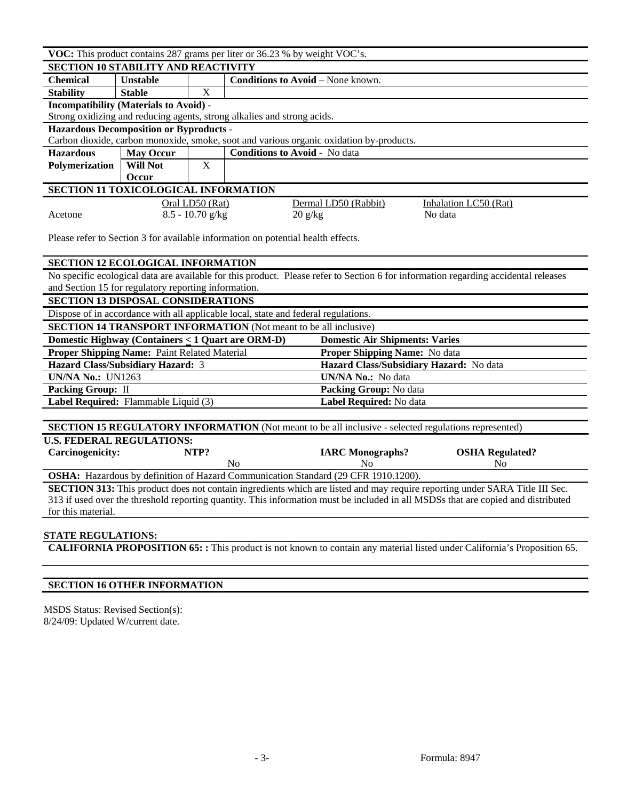| VOC: This product contains 287 grams per liter or 36.23 % by weight VOC's.                                                         |                  |                           |                                                                                                                                     |  |
|------------------------------------------------------------------------------------------------------------------------------------|------------------|---------------------------|-------------------------------------------------------------------------------------------------------------------------------------|--|
| <b>SECTION 10 STABILITY AND REACTIVITY</b>                                                                                         |                  |                           |                                                                                                                                     |  |
| <b>Chemical</b>                                                                                                                    | <b>Unstable</b>  |                           | <b>Conditions to Avoid - None known.</b>                                                                                            |  |
| <b>Stability</b>                                                                                                                   | <b>Stable</b>    | $\mathbf X$               |                                                                                                                                     |  |
| <b>Incompatibility (Materials to Avoid) -</b>                                                                                      |                  |                           |                                                                                                                                     |  |
|                                                                                                                                    |                  |                           | Strong oxidizing and reducing agents, strong alkalies and strong acids.                                                             |  |
| <b>Hazardous Decomposition or Byproducts -</b>                                                                                     |                  |                           |                                                                                                                                     |  |
|                                                                                                                                    |                  |                           | Carbon dioxide, carbon monoxide, smoke, soot and various organic oxidation by-products.                                             |  |
| <b>Hazardous</b>                                                                                                                   | <b>May Occur</b> |                           | <b>Conditions to Avoid - No data</b>                                                                                                |  |
| Polymerization                                                                                                                     | <b>Will Not</b>  | $\boldsymbol{\mathrm{X}}$ |                                                                                                                                     |  |
|                                                                                                                                    | Occur            |                           |                                                                                                                                     |  |
| SECTION 11 TOXICOLOGICAL INFORMATION                                                                                               |                  |                           |                                                                                                                                     |  |
|                                                                                                                                    |                  | Oral LD50 (Rat)           | Dermal LD50 (Rabbit)<br>Inhalation LC50 (Rat)                                                                                       |  |
| Acetone                                                                                                                            |                  | $8.5 - 10.70$ g/kg        | 20 g/kg<br>No data                                                                                                                  |  |
|                                                                                                                                    |                  |                           | Please refer to Section 3 for available information on potential health effects.                                                    |  |
|                                                                                                                                    |                  |                           |                                                                                                                                     |  |
| <b>SECTION 12 ECOLOGICAL INFORMATION</b>                                                                                           |                  |                           |                                                                                                                                     |  |
|                                                                                                                                    |                  |                           | No specific ecological data are available for this product. Please refer to Section 6 for information regarding accidental releases |  |
| and Section 15 for regulatory reporting information.                                                                               |                  |                           |                                                                                                                                     |  |
| <b>SECTION 13 DISPOSAL CONSIDERATIONS</b>                                                                                          |                  |                           |                                                                                                                                     |  |
|                                                                                                                                    |                  |                           | Dispose of in accordance with all applicable local, state and federal regulations.                                                  |  |
|                                                                                                                                    |                  |                           | <b>SECTION 14 TRANSPORT INFORMATION</b> (Not meant to be all inclusive)                                                             |  |
| Domestic Highway (Containers $\leq 1$ Quart are ORM-D)                                                                             |                  |                           | <b>Domestic Air Shipments: Varies</b>                                                                                               |  |
| Proper Shipping Name: Paint Related Material                                                                                       |                  |                           | Proper Shipping Name: No data                                                                                                       |  |
| Hazard Class/Subsidiary Hazard: 3                                                                                                  |                  |                           | Hazard Class/Subsidiary Hazard: No data                                                                                             |  |
| <b>UN/NA No.: UN1263</b>                                                                                                           |                  |                           | UN/NA No.: No data                                                                                                                  |  |
| Packing Group: II<br>Packing Group: No data                                                                                        |                  |                           |                                                                                                                                     |  |
| Label Required: Flammable Liquid (3)<br>Label Required: No data                                                                    |                  |                           |                                                                                                                                     |  |
|                                                                                                                                    |                  |                           |                                                                                                                                     |  |
| <b>SECTION 15 REGULATORY INFORMATION</b> (Not meant to be all inclusive - selected regulations represented)                        |                  |                           |                                                                                                                                     |  |
| <b>U.S. FEDERAL REGULATIONS:</b>                                                                                                   |                  |                           |                                                                                                                                     |  |
| <b>Carcinogenicity:</b>                                                                                                            |                  | NTP?                      | <b>IARC Monographs?</b><br><b>OSHA Regulated?</b>                                                                                   |  |
|                                                                                                                                    |                  |                           | No<br>N <sub>0</sub><br>N <sub>0</sub>                                                                                              |  |
| OSHA: Hazardous by definition of Hazard Communication Standard (29 CFR 1910.1200).                                                 |                  |                           |                                                                                                                                     |  |
| <b>SECTION 313:</b> This product does not contain ingredients which are listed and may require reporting under SARA Title III Sec. |                  |                           |                                                                                                                                     |  |
| 313 if used over the threshold reporting quantity. This information must be included in all MSDSs that are copied and distributed  |                  |                           |                                                                                                                                     |  |
| for this material.                                                                                                                 |                  |                           |                                                                                                                                     |  |
| <b>STATE REGULATIONS:</b>                                                                                                          |                  |                           |                                                                                                                                     |  |
| <b>CALIFORNIA PROPOSITION 65:</b> : This product is not known to contain any material listed under California's Proposition 65.    |                  |                           |                                                                                                                                     |  |
|                                                                                                                                    |                  |                           |                                                                                                                                     |  |
|                                                                                                                                    |                  |                           |                                                                                                                                     |  |
| <b>SECTION 16 OTHER INFORMATION</b>                                                                                                |                  |                           |                                                                                                                                     |  |
|                                                                                                                                    |                  |                           |                                                                                                                                     |  |

MSDS Status: Revised Section(s): 8/24/09: Updated W/current date.